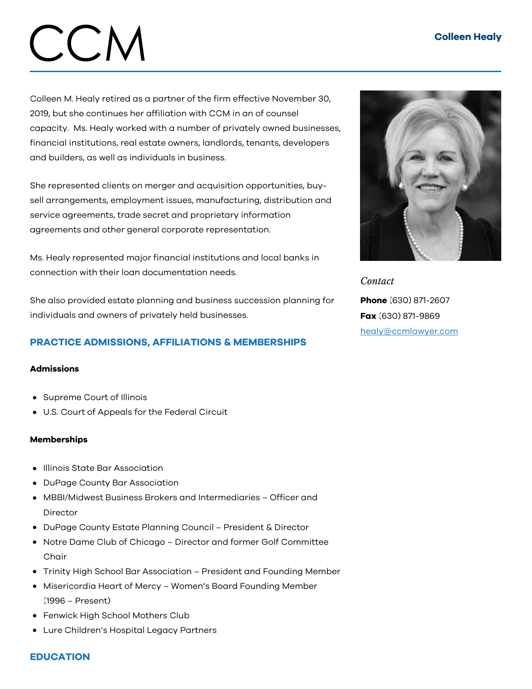### Colleen Healy

# $C(N)$

Colleen M. Healy retired as a partner of the firm effective November 30, 2019, but she continues her affiliation with CCM in an of counsel capacity. Ms. Healy worked with a number of privately owned businesses, financial institutions, real estate owners, landlords, tenants, developers and builders, as well as individuals in business.

She represented clients on merger and acquisition opportunities, buysell arrangements, employment issues, manufacturing, distribution and service agreements, trade secret and proprietary information agreements and other general corporate representation.

Ms. Healy represented major financial institutions and local banks in connection with their loan documentation needs.

She also provided estate planning and business succession planning for individuals and owners of privately held businesses.

## PRACTICE ADMISSIONS, AFFILIATIONS & MEMBERSHIPS

#### Admissions

- Supreme Court of Illinois
- U.S. Court of Appeals for the Federal Circuit

#### Memberships

- **•** Illinois State Bar Association
- DuPage County Bar Association
- MBBI/Midwest Business Brokers and Intermediaries Officer and Director
- DuPage County Estate Planning Council President & Director
- Notre Dame Club of Chicago Director and former Golf Committee Chair
- Trinity High School Bar Association President and Founding Member
- Misericordia Heart of Mercy Women's Board Founding Member (1996 – Present)
- Fenwick High School Mothers Club
- Lure Children's Hospital Legacy Partners

*Contact* Phone (630) 871-2607 Fax (630) 871-9869 [healy@ccmlawyer.com](mailto:healy@ccmlawyer.com)

#### **EDUCATION**